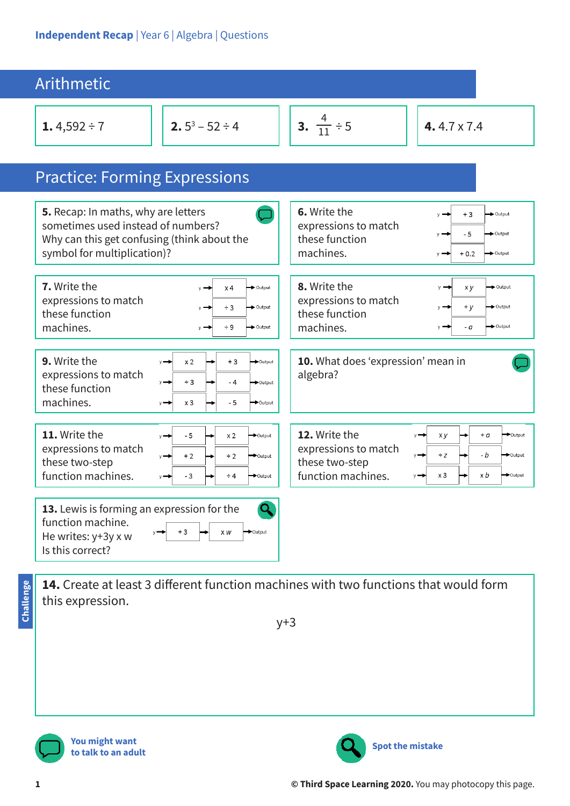| <b>Arithmetic</b>                                                                                                                                                                                                                                           |                                                                                                                                                                                             |  |  |  |
|-------------------------------------------------------------------------------------------------------------------------------------------------------------------------------------------------------------------------------------------------------------|---------------------------------------------------------------------------------------------------------------------------------------------------------------------------------------------|--|--|--|
| 2. $5^3 - 52 \div 4$<br>1.4,592 ÷ 7                                                                                                                                                                                                                         | <b>3.</b> $\frac{4}{11} \div 5$<br>4.4.7 $\times$ 7.4                                                                                                                                       |  |  |  |
| <b>Practice: Forming Expressions</b>                                                                                                                                                                                                                        |                                                                                                                                                                                             |  |  |  |
| 5. Recap: In maths, why are letters<br>sometimes used instead of numbers?<br>Why can this get confusing (think about the<br>symbol for multiplication)?                                                                                                     | 6. Write the<br>Output<br>$+3$<br>expressions to match<br>$-5$<br>+Output<br>these function<br>machines.<br>$+0.2$<br>$\rightarrow$ Output<br>$v =$                                         |  |  |  |
| 7. Write the<br>$\rightarrow$ Output<br>x 4<br>expressions to match<br>$\rightarrow$ Output<br>$\div$ 3<br>these function<br>machines.<br>$\div$ 9<br>$\rightarrow$ Output<br>$v =$                                                                         | 8. Write the<br>Output<br>x y<br>expressions to match<br>$+y$<br>$\rightarrow$ Output<br>these function<br>machines.<br>Output<br>- a<br>V                                                  |  |  |  |
| 9. Write the<br>x <sub>2</sub><br>$+3$<br>Output<br>$v \rightarrow$<br>expressions to match<br>$\div$ 3<br>- 4<br>Output<br>these function<br>machines.<br>$x_3$<br>- 5<br>→ Output<br>$y \rightarrow$                                                      | 10. What does 'expression' mean in<br>algebra?                                                                                                                                              |  |  |  |
| 11. Write the<br>- 5<br>x <sub>2</sub><br>$\rightarrow$ Output<br>$y \rightarrow$<br>expressions to match<br>$+2$<br>$\div$ 2<br>$\rightarrow$ Output<br>$y \rightarrow$<br>these two-step<br>function machines.<br>- 3<br>$\div 4$<br>$\rightarrow$ Output | 12. Write the<br>$+ a$<br>▶Output<br>x y<br>expressions to match<br>$\div Z$<br>- b<br>$\rightarrow$ Output<br>these two-step<br>function machines.<br>$x_3$<br>x b<br>$\rightarrow$ Output |  |  |  |
| 13. Lewis is forming an expression for the<br>function machine.<br>+3<br>Cutput<br>x w<br>He writes: y+3y x w<br>Is this correct?                                                                                                                           |                                                                                                                                                                                             |  |  |  |

**14.** Create at least 3 different function machines with two functions that would form this expression.

y+3



**You might want to talk to an adult**



**Challenge**